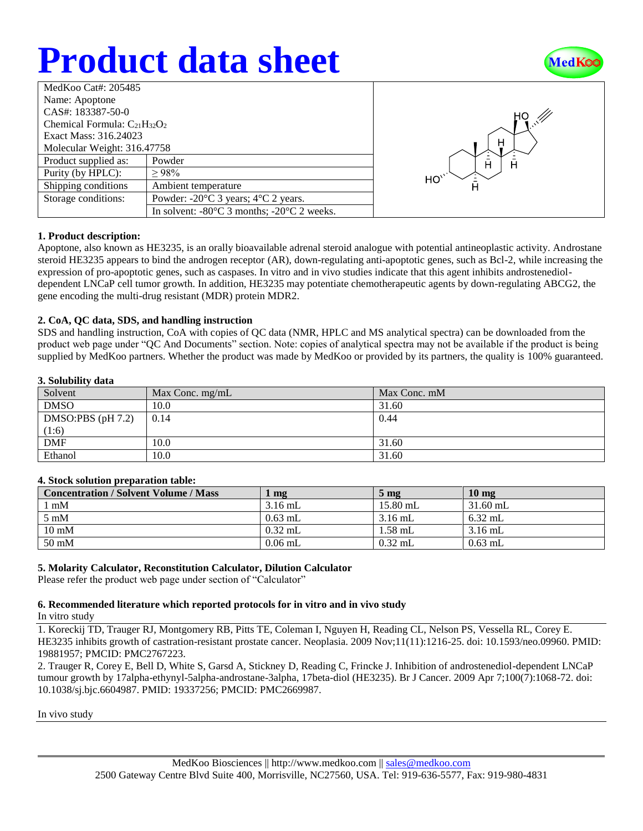# **Product data sheet**



| MedKoo Cat#: 205485                 |                                                                |  |  |  |
|-------------------------------------|----------------------------------------------------------------|--|--|--|
| Name: Apoptone                      |                                                                |  |  |  |
| CAS#: 183387-50-0                   |                                                                |  |  |  |
| Chemical Formula: $C_{21}H_{32}O_2$ |                                                                |  |  |  |
| Exact Mass: 316.24023               |                                                                |  |  |  |
| Molecular Weight: 316.47758         |                                                                |  |  |  |
| Product supplied as:                | Powder                                                         |  |  |  |
| Purity (by HPLC):                   | >98%                                                           |  |  |  |
| Shipping conditions                 | Ambient temperature                                            |  |  |  |
| Storage conditions:                 | Powder: $-20^{\circ}$ C 3 years; $4^{\circ}$ C 2 years.        |  |  |  |
|                                     | In solvent: $-80^{\circ}$ C 3 months; $-20^{\circ}$ C 2 weeks. |  |  |  |



#### **1. Product description:**

Apoptone, also known as HE3235, is an orally bioavailable adrenal steroid analogue with potential antineoplastic activity. Androstane steroid HE3235 appears to bind the androgen receptor (AR), down-regulating anti-apoptotic genes, such as Bcl-2, while increasing the expression of pro-apoptotic genes, such as caspases. In vitro and in vivo studies indicate that this agent inhibits androstenedioldependent LNCaP cell tumor growth. In addition, HE3235 may potentiate chemotherapeutic agents by down-regulating ABCG2, the gene encoding the multi-drug resistant (MDR) protein MDR2.

#### **2. CoA, QC data, SDS, and handling instruction**

SDS and handling instruction, CoA with copies of QC data (NMR, HPLC and MS analytical spectra) can be downloaded from the product web page under "QC And Documents" section. Note: copies of analytical spectra may not be available if the product is being supplied by MedKoo partners. Whether the product was made by MedKoo or provided by its partners, the quality is 100% guaranteed.

#### **3. Solubility data**

| -----------<br>------- |                   |              |  |  |
|------------------------|-------------------|--------------|--|--|
| Solvent                | Max Conc. $mg/mL$ | Max Conc. mM |  |  |
| <b>DMSO</b>            | 10.0              | 31.60        |  |  |
| DMSO:PBS $(pH 7.2)$    | 0.14              | 0.44         |  |  |
| (1:6)                  |                   |              |  |  |
| <b>DMF</b>             | 10.0              | 31.60        |  |  |
| Ethanol                | 10.0              | 31.60        |  |  |

#### **4. Stock solution preparation table:**

| <b>Concentration / Solvent Volume / Mass</b> | mg        | $5 \text{ mg}$ | $10 \text{ mg}$ |
|----------------------------------------------|-----------|----------------|-----------------|
| mM                                           | $3.16$ mL | $15.80$ mL     | $31.60$ mL      |
| $5 \text{ mM}$                               | $0.63$ mL | $3.16$ mL      | $6.32$ mL       |
| $10 \text{ mM}$                              | $0.32$ mL | $1.58$ mL      | $3.16$ mL       |
| $50 \text{ mM}$                              | $0.06$ mL | $0.32$ mL      | $0.63$ mL       |

#### **5. Molarity Calculator, Reconstitution Calculator, Dilution Calculator**

Please refer the product web page under section of "Calculator"

### **6. Recommended literature which reported protocols for in vitro and in vivo study**

In vitro study

1. Koreckij TD, Trauger RJ, Montgomery RB, Pitts TE, Coleman I, Nguyen H, Reading CL, Nelson PS, Vessella RL, Corey E. HE3235 inhibits growth of castration-resistant prostate cancer. Neoplasia. 2009 Nov;11(11):1216-25. doi: 10.1593/neo.09960. PMID: 19881957; PMCID: PMC2767223.

2. Trauger R, Corey E, Bell D, White S, Garsd A, Stickney D, Reading C, Frincke J. Inhibition of androstenediol-dependent LNCaP tumour growth by 17alpha-ethynyl-5alpha-androstane-3alpha, 17beta-diol (HE3235). Br J Cancer. 2009 Apr 7;100(7):1068-72. doi: 10.1038/sj.bjc.6604987. PMID: 19337256; PMCID: PMC2669987.

In vivo study